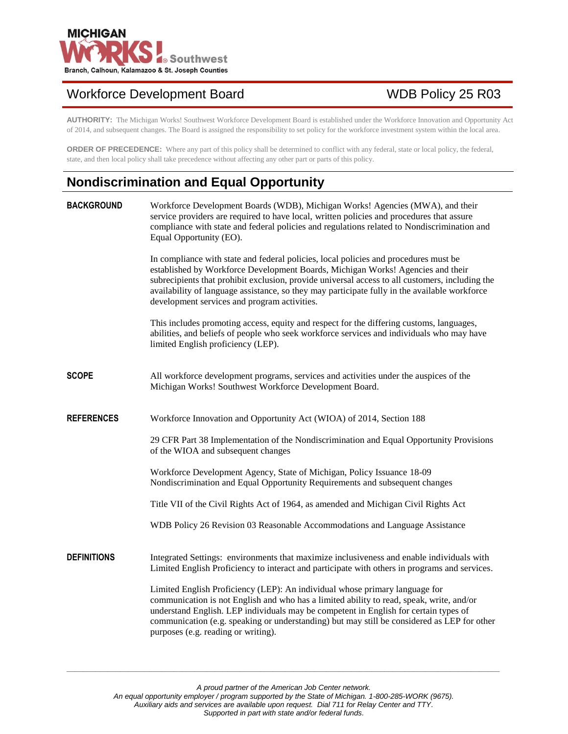

# Workforce Development Board WDB Policy 25 R03

**AUTHORITY:** The Michigan Works! Southwest Workforce Development Board is established under the Workforce Innovation and Opportunity Act of 2014, and subsequent changes. The Board is assigned the responsibility to set policy for the workforce investment system within the local area.

**ORDER OF PRECEDENCE:** Where any part of this policy shall be determined to conflict with any federal, state or local policy, the federal, state, and then local policy shall take precedence without affecting any other part or parts of this policy.

## **Nondiscrimination and Equal Opportunity**

| <b>BACKGROUND</b>  | Workforce Development Boards (WDB), Michigan Works! Agencies (MWA), and their<br>service providers are required to have local, written policies and procedures that assure<br>compliance with state and federal policies and regulations related to Nondiscrimination and<br>Equal Opportunity (EO).                                                                                                                        |
|--------------------|-----------------------------------------------------------------------------------------------------------------------------------------------------------------------------------------------------------------------------------------------------------------------------------------------------------------------------------------------------------------------------------------------------------------------------|
|                    | In compliance with state and federal policies, local policies and procedures must be<br>established by Workforce Development Boards, Michigan Works! Agencies and their<br>subrecipients that prohibit exclusion, provide universal access to all customers, including the<br>availability of language assistance, so they may participate fully in the available workforce<br>development services and program activities. |
|                    | This includes promoting access, equity and respect for the differing customs, languages,<br>abilities, and beliefs of people who seek workforce services and individuals who may have<br>limited English proficiency (LEP).                                                                                                                                                                                                 |
| <b>SCOPE</b>       | All workforce development programs, services and activities under the auspices of the<br>Michigan Works! Southwest Workforce Development Board.                                                                                                                                                                                                                                                                             |
| <b>REFERENCES</b>  | Workforce Innovation and Opportunity Act (WIOA) of 2014, Section 188                                                                                                                                                                                                                                                                                                                                                        |
|                    | 29 CFR Part 38 Implementation of the Nondiscrimination and Equal Opportunity Provisions<br>of the WIOA and subsequent changes                                                                                                                                                                                                                                                                                               |
|                    | Workforce Development Agency, State of Michigan, Policy Issuance 18-09<br>Nondiscrimination and Equal Opportunity Requirements and subsequent changes                                                                                                                                                                                                                                                                       |
|                    | Title VII of the Civil Rights Act of 1964, as amended and Michigan Civil Rights Act                                                                                                                                                                                                                                                                                                                                         |
|                    | WDB Policy 26 Revision 03 Reasonable Accommodations and Language Assistance                                                                                                                                                                                                                                                                                                                                                 |
| <b>DEFINITIONS</b> | Integrated Settings: environments that maximize inclusiveness and enable individuals with<br>Limited English Proficiency to interact and participate with others in programs and services.                                                                                                                                                                                                                                  |
|                    | Limited English Proficiency (LEP): An individual whose primary language for<br>communication is not English and who has a limited ability to read, speak, write, and/or<br>understand English. LEP individuals may be competent in English for certain types of<br>communication (e.g. speaking or understanding) but may still be considered as LEP for other<br>purposes (e.g. reading or writing).                       |

*A proud partner of the American Job Center network.*

*\_\_\_\_\_\_\_\_\_\_\_\_\_\_\_\_\_\_\_\_\_\_\_\_\_\_\_\_\_\_\_\_\_\_\_\_\_\_\_\_\_\_\_\_\_\_\_\_\_\_\_\_\_\_\_\_\_\_\_\_\_\_\_\_\_\_\_\_\_\_\_\_\_\_\_\_\_\_\_\_\_\_\_\_\_\_\_\_\_\_\_\_\_\_\_\_\_\_\_\_\_\_\_\_\_*

*An equal opportunity employer / program supported by the State of Michigan. 1-800-285-WORK (9675).*

*Auxiliary aids and services are available upon request. Dial 711 for Relay Center and TTY.*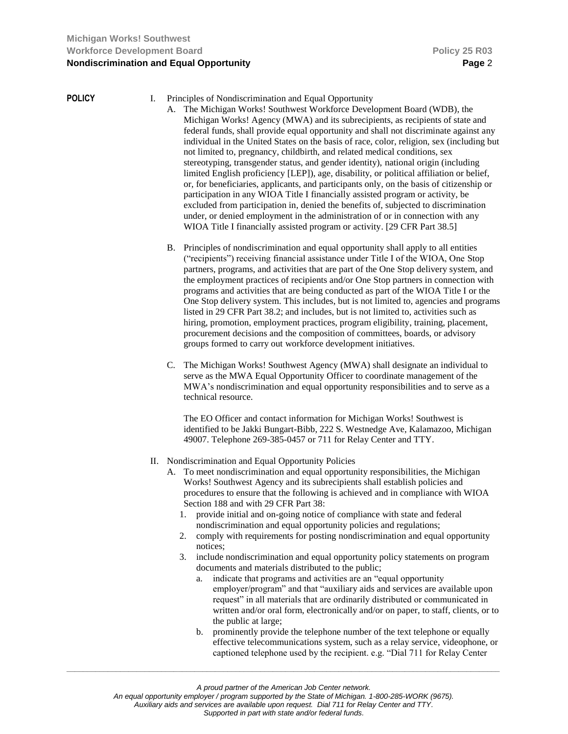### **POLICY** I. Principles of Nondiscrimination and Equal Opportunity

- A. The Michigan Works! Southwest Workforce Development Board (WDB), the Michigan Works! Agency (MWA) and its subrecipients, as recipients of state and federal funds, shall provide equal opportunity and shall not discriminate against any individual in the United States on the basis of race, color, religion, sex (including but not limited to, pregnancy, childbirth, and related medical conditions, sex stereotyping, transgender status, and gender identity), national origin (including limited English proficiency [LEP]), age, disability, or political affiliation or belief, or, for beneficiaries, applicants, and participants only, on the basis of citizenship or participation in any WIOA Title I financially assisted program or activity, be excluded from participation in, denied the benefits of, subjected to discrimination under, or denied employment in the administration of or in connection with any WIOA Title I financially assisted program or activity. [29 CFR Part 38.5]
- B. Principles of nondiscrimination and equal opportunity shall apply to all entities ("recipients") receiving financial assistance under Title I of the WIOA, One Stop partners, programs, and activities that are part of the One Stop delivery system, and the employment practices of recipients and/or One Stop partners in connection with programs and activities that are being conducted as part of the WIOA Title I or the One Stop delivery system. This includes, but is not limited to, agencies and programs listed in 29 CFR Part 38.2; and includes, but is not limited to, activities such as hiring, promotion, employment practices, program eligibility, training, placement, procurement decisions and the composition of committees, boards, or advisory groups formed to carry out workforce development initiatives.
- C. The Michigan Works! Southwest Agency (MWA) shall designate an individual to serve as the MWA Equal Opportunity Officer to coordinate management of the MWA's nondiscrimination and equal opportunity responsibilities and to serve as a technical resource.

The EO Officer and contact information for Michigan Works! Southwest is identified to be Jakki Bungart-Bibb, 222 S. Westnedge Ave, Kalamazoo, Michigan 49007. Telephone 269-385-0457 or 711 for Relay Center and TTY.

- II. Nondiscrimination and Equal Opportunity Policies
	- A. To meet nondiscrimination and equal opportunity responsibilities, the Michigan Works! Southwest Agency and its subrecipients shall establish policies and procedures to ensure that the following is achieved and in compliance with WIOA Section 188 and with 29 CFR Part 38:
		- 1. provide initial and on-going notice of compliance with state and federal nondiscrimination and equal opportunity policies and regulations;
		- 2. comply with requirements for posting nondiscrimination and equal opportunity notices;
		- 3. include nondiscrimination and equal opportunity policy statements on program documents and materials distributed to the public;
			- a. indicate that programs and activities are an "equal opportunity employer/program" and that "auxiliary aids and services are available upon request" in all materials that are ordinarily distributed or communicated in written and/or oral form, electronically and/or on paper, to staff, clients, or to the public at large;
			- b. prominently provide the telephone number of the text telephone or equally effective telecommunications system, such as a relay service, videophone, or captioned telephone used by the recipient. e.g. "Dial 711 for Relay Center

*\_\_\_\_\_\_\_\_\_\_\_\_\_\_\_\_\_\_\_\_\_\_\_\_\_\_\_\_\_\_\_\_\_\_\_\_\_\_\_\_\_\_\_\_\_\_\_\_\_\_\_\_\_\_\_\_\_\_\_\_\_\_\_\_\_\_\_\_\_\_\_\_\_\_\_\_\_\_\_\_\_\_\_\_\_\_\_\_\_\_\_\_\_\_\_\_\_\_\_\_\_\_\_\_\_*

*An equal opportunity employer / program supported by the State of Michigan. 1-800-285-WORK (9675).*

*Auxiliary aids and services are available upon request. Dial 711 for Relay Center and TTY.*

*A proud partner of the American Job Center network.*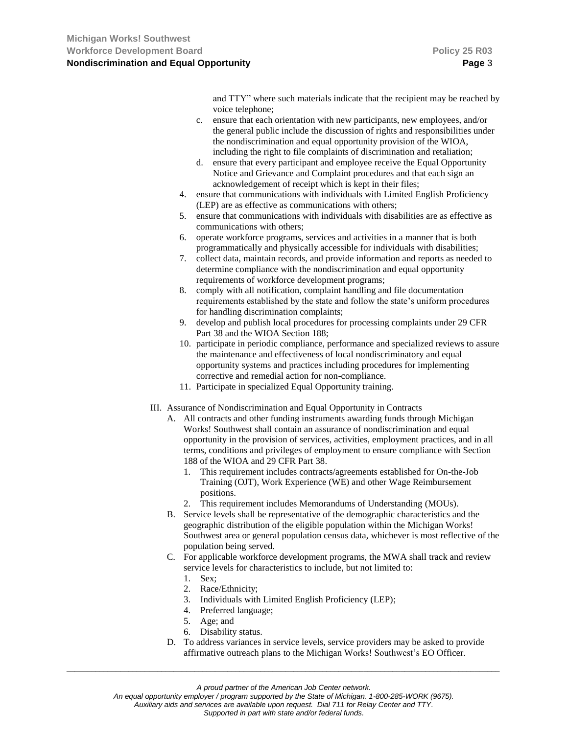and TTY" where such materials indicate that the recipient may be reached by voice telephone;

- c. ensure that each orientation with new participants, new employees, and/or the general public include the discussion of rights and responsibilities under the nondiscrimination and equal opportunity provision of the WIOA, including the right to file complaints of discrimination and retaliation;
- d. ensure that every participant and employee receive the Equal Opportunity Notice and Grievance and Complaint procedures and that each sign an acknowledgement of receipt which is kept in their files;
- 4. ensure that communications with individuals with Limited English Proficiency (LEP) are as effective as communications with others;
- 5. ensure that communications with individuals with disabilities are as effective as communications with others;
- 6. operate workforce programs, services and activities in a manner that is both programmatically and physically accessible for individuals with disabilities;
- 7. collect data, maintain records, and provide information and reports as needed to determine compliance with the nondiscrimination and equal opportunity requirements of workforce development programs;
- 8. comply with all notification, complaint handling and file documentation requirements established by the state and follow the state's uniform procedures for handling discrimination complaints;
- 9. develop and publish local procedures for processing complaints under 29 CFR Part 38 and the WIOA Section 188;
- 10. participate in periodic compliance, performance and specialized reviews to assure the maintenance and effectiveness of local nondiscriminatory and equal opportunity systems and practices including procedures for implementing corrective and remedial action for non-compliance.
- 11. Participate in specialized Equal Opportunity training.
- III. Assurance of Nondiscrimination and Equal Opportunity in Contracts
	- A. All contracts and other funding instruments awarding funds through Michigan Works! Southwest shall contain an assurance of nondiscrimination and equal opportunity in the provision of services, activities, employment practices, and in all terms, conditions and privileges of employment to ensure compliance with Section 188 of the WIOA and 29 CFR Part 38.
		- 1. This requirement includes contracts/agreements established for On-the-Job Training (OJT), Work Experience (WE) and other Wage Reimbursement positions.
		- 2. This requirement includes Memorandums of Understanding (MOUs).
	- B. Service levels shall be representative of the demographic characteristics and the geographic distribution of the eligible population within the Michigan Works! Southwest area or general population census data, whichever is most reflective of the population being served.
	- C. For applicable workforce development programs, the MWA shall track and review service levels for characteristics to include, but not limited to:
		- 1. Sex;
		- 2. Race/Ethnicity;
		- 3. Individuals with Limited English Proficiency (LEP);
		- 4. Preferred language;
		- 5. Age; and
		- 6. Disability status.
	- D. To address variances in service levels, service providers may be asked to provide affirmative outreach plans to the Michigan Works! Southwest's EO Officer.

*\_\_\_\_\_\_\_\_\_\_\_\_\_\_\_\_\_\_\_\_\_\_\_\_\_\_\_\_\_\_\_\_\_\_\_\_\_\_\_\_\_\_\_\_\_\_\_\_\_\_\_\_\_\_\_\_\_\_\_\_\_\_\_\_\_\_\_\_\_\_\_\_\_\_\_\_\_\_\_\_\_\_\_\_\_\_\_\_\_\_\_\_\_\_\_\_\_\_\_\_\_\_\_\_\_*

*An equal opportunity employer / program supported by the State of Michigan. 1-800-285-WORK (9675).*

*Auxiliary aids and services are available upon request. Dial 711 for Relay Center and TTY.*

*A proud partner of the American Job Center network.*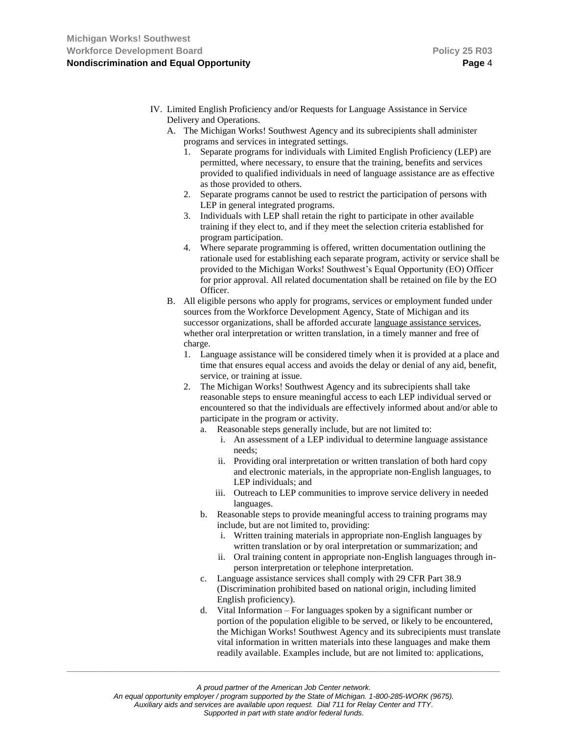- IV. Limited English Proficiency and/or Requests for Language Assistance in Service Delivery and Operations.
	- A. The Michigan Works! Southwest Agency and its subrecipients shall administer programs and services in integrated settings.
		- 1. Separate programs for individuals with Limited English Proficiency (LEP) are permitted, where necessary, to ensure that the training, benefits and services provided to qualified individuals in need of language assistance are as effective as those provided to others.
		- 2. Separate programs cannot be used to restrict the participation of persons with LEP in general integrated programs.
		- 3. Individuals with LEP shall retain the right to participate in other available training if they elect to, and if they meet the selection criteria established for program participation.
		- 4. Where separate programming is offered, written documentation outlining the rationale used for establishing each separate program, activity or service shall be provided to the Michigan Works! Southwest's Equal Opportunity (EO) Officer for prior approval. All related documentation shall be retained on file by the EO Officer.
	- B. All eligible persons who apply for programs, services or employment funded under sources from the Workforce Development Agency, State of Michigan and its successor organizations, shall be afforded accurate language assistance services, whether oral interpretation or written translation, in a timely manner and free of charge.
		- 1. Language assistance will be considered timely when it is provided at a place and time that ensures equal access and avoids the delay or denial of any aid, benefit, service, or training at issue.
		- 2. The Michigan Works! Southwest Agency and its subrecipients shall take reasonable steps to ensure meaningful access to each LEP individual served or encountered so that the individuals are effectively informed about and/or able to participate in the program or activity.
			- a. Reasonable steps generally include, but are not limited to:
				- i. An assessment of a LEP individual to determine language assistance needs;
				- ii. Providing oral interpretation or written translation of both hard copy and electronic materials, in the appropriate non-English languages, to LEP individuals; and
				- iii. Outreach to LEP communities to improve service delivery in needed languages.
			- b. Reasonable steps to provide meaningful access to training programs may include, but are not limited to, providing:
				- i. Written training materials in appropriate non-English languages by written translation or by oral interpretation or summarization; and
				- ii. Oral training content in appropriate non-English languages through inperson interpretation or telephone interpretation.
			- c. Language assistance services shall comply with 29 CFR Part 38.9 (Discrimination prohibited based on national origin, including limited English proficiency).
			- d. Vital Information For languages spoken by a significant number or portion of the population eligible to be served, or likely to be encountered, the Michigan Works! Southwest Agency and its subrecipients must translate vital information in written materials into these languages and make them readily available. Examples include, but are not limited to: applications,

*\_\_\_\_\_\_\_\_\_\_\_\_\_\_\_\_\_\_\_\_\_\_\_\_\_\_\_\_\_\_\_\_\_\_\_\_\_\_\_\_\_\_\_\_\_\_\_\_\_\_\_\_\_\_\_\_\_\_\_\_\_\_\_\_\_\_\_\_\_\_\_\_\_\_\_\_\_\_\_\_\_\_\_\_\_\_\_\_\_\_\_\_\_\_\_\_\_\_\_\_\_\_\_\_\_*

*An equal opportunity employer / program supported by the State of Michigan. 1-800-285-WORK (9675).*

*Auxiliary aids and services are available upon request. Dial 711 for Relay Center and TTY.*

*A proud partner of the American Job Center network.*